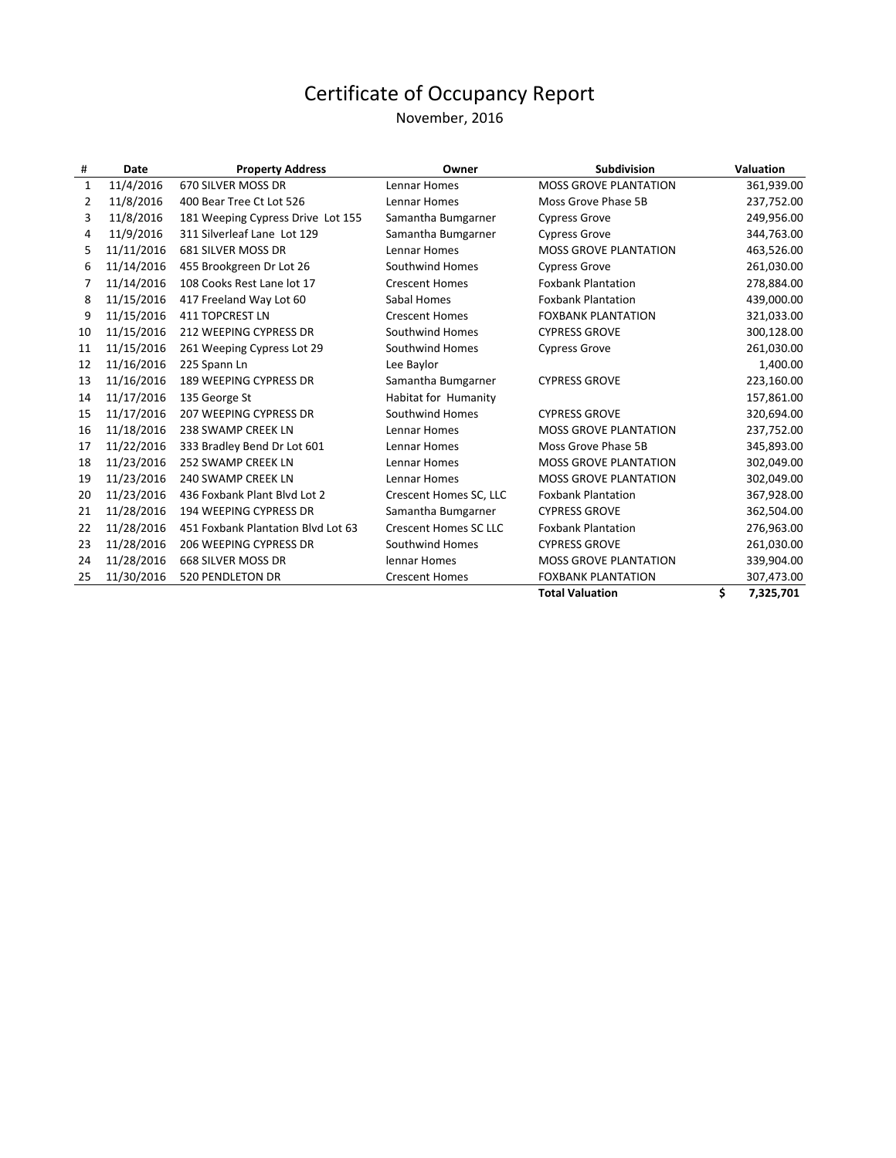#### November, 2016

| #              | Date       | <b>Property Address</b>            | Owner                        | <b>Subdivision</b>           | <b>Valuation</b> |
|----------------|------------|------------------------------------|------------------------------|------------------------------|------------------|
| 1              | 11/4/2016  | 670 SILVER MOSS DR                 | Lennar Homes                 | <b>MOSS GROVE PLANTATION</b> | 361,939.00       |
| $\overline{2}$ | 11/8/2016  | 400 Bear Tree Ct Lot 526           | Lennar Homes                 | Moss Grove Phase 5B          | 237,752.00       |
| 3              | 11/8/2016  | 181 Weeping Cypress Drive Lot 155  | Samantha Bumgarner           | <b>Cypress Grove</b>         | 249,956.00       |
| 4              | 11/9/2016  | 311 Silverleaf Lane Lot 129        | Samantha Bumgarner           | <b>Cypress Grove</b>         | 344,763.00       |
| 5              | 11/11/2016 | 681 SILVER MOSS DR                 | Lennar Homes                 | MOSS GROVE PLANTATION        | 463,526.00       |
| 6              | 11/14/2016 | 455 Brookgreen Dr Lot 26           | Southwind Homes              | <b>Cypress Grove</b>         | 261,030.00       |
| 7              | 11/14/2016 | 108 Cooks Rest Lane lot 17         | <b>Crescent Homes</b>        | <b>Foxbank Plantation</b>    | 278,884.00       |
| 8              | 11/15/2016 | 417 Freeland Way Lot 60            | Sabal Homes                  | <b>Foxbank Plantation</b>    | 439,000.00       |
| 9              | 11/15/2016 | <b>411 TOPCREST LN</b>             | <b>Crescent Homes</b>        | <b>FOXBANK PLANTATION</b>    | 321,033.00       |
| 10             | 11/15/2016 | 212 WEEPING CYPRESS DR             | Southwind Homes              | <b>CYPRESS GROVE</b>         | 300,128.00       |
| 11             | 11/15/2016 | 261 Weeping Cypress Lot 29         | Southwind Homes              | <b>Cypress Grove</b>         | 261,030.00       |
| 12             | 11/16/2016 | 225 Spann Ln                       | Lee Baylor                   |                              | 1,400.00         |
| 13             | 11/16/2016 | 189 WEEPING CYPRESS DR             | Samantha Bumgarner           | <b>CYPRESS GROVE</b>         | 223,160.00       |
| 14             | 11/17/2016 | 135 George St                      | Habitat for Humanity         |                              | 157,861.00       |
| 15             | 11/17/2016 | 207 WEEPING CYPRESS DR             | Southwind Homes              | <b>CYPRESS GROVE</b>         | 320,694.00       |
| 16             | 11/18/2016 | 238 SWAMP CREEK LN                 | Lennar Homes                 | <b>MOSS GROVE PLANTATION</b> | 237,752.00       |
| 17             | 11/22/2016 | 333 Bradley Bend Dr Lot 601        | Lennar Homes                 | Moss Grove Phase 5B          | 345,893.00       |
| 18             | 11/23/2016 | <b>252 SWAMP CREEK LN</b>          | Lennar Homes                 | <b>MOSS GROVE PLANTATION</b> | 302,049.00       |
| 19             | 11/23/2016 | 240 SWAMP CREEK LN                 | Lennar Homes                 | <b>MOSS GROVE PLANTATION</b> | 302,049.00       |
| 20             | 11/23/2016 | 436 Foxbank Plant Blvd Lot 2       | Crescent Homes SC, LLC       | <b>Foxbank Plantation</b>    | 367,928.00       |
| 21             | 11/28/2016 | <b>194 WEEPING CYPRESS DR</b>      | Samantha Bumgarner           | <b>CYPRESS GROVE</b>         | 362,504.00       |
| 22             | 11/28/2016 | 451 Foxbank Plantation Blvd Lot 63 | <b>Crescent Homes SC LLC</b> | <b>Foxbank Plantation</b>    | 276,963.00       |
| 23             | 11/28/2016 | 206 WEEPING CYPRESS DR             | Southwind Homes              | <b>CYPRESS GROVE</b>         | 261,030.00       |
| 24             | 11/28/2016 | 668 SILVER MOSS DR                 | lennar Homes                 | <b>MOSS GROVE PLANTATION</b> | 339,904.00       |
| 25             | 11/30/2016 | <b>520 PENDLETON DR</b>            | <b>Crescent Homes</b>        | <b>FOXBANK PLANTATION</b>    | 307,473.00       |
|                |            |                                    |                              | <b>Total Valuation</b>       | \$<br>7,325,701  |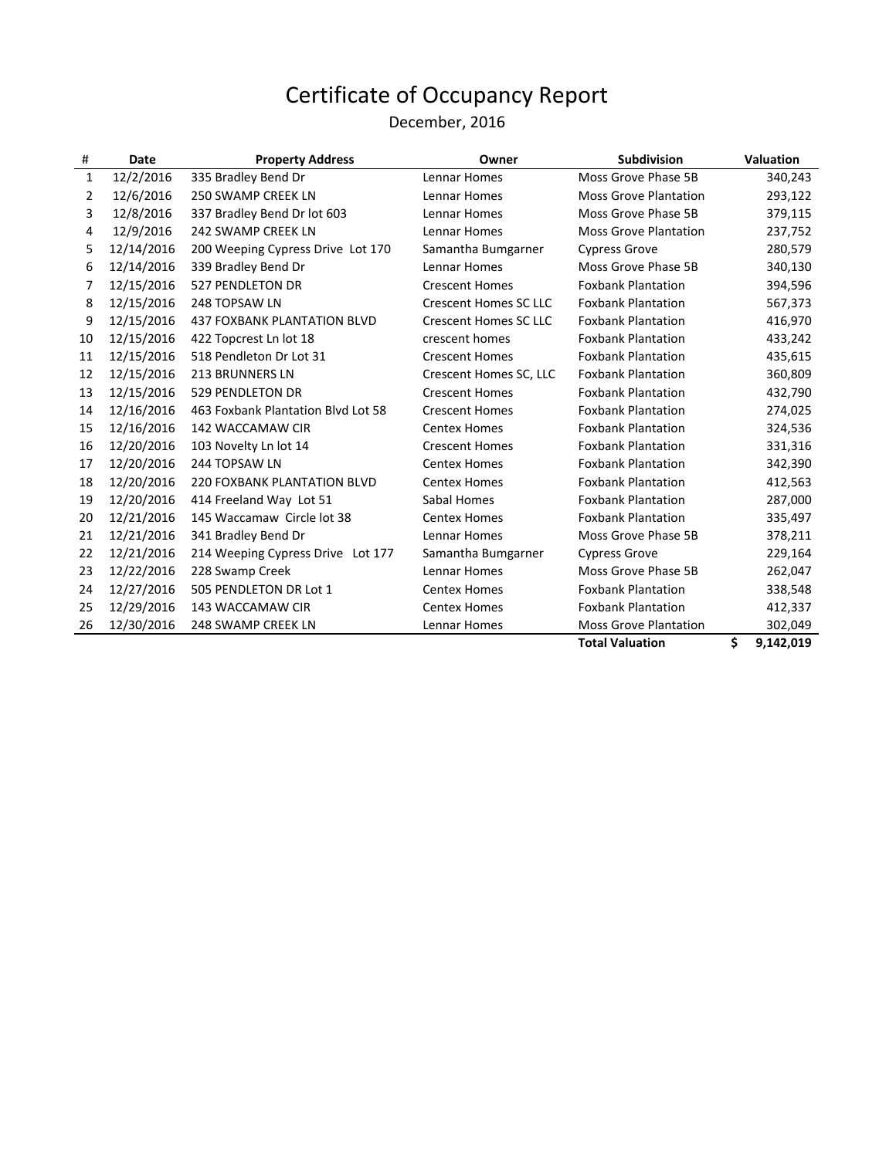### December, 2016

| #  | Date       | <b>Property Address</b>            | Owner                        | <b>Subdivision</b>           | <b>Valuation</b> |
|----|------------|------------------------------------|------------------------------|------------------------------|------------------|
| 1  | 12/2/2016  | 335 Bradley Bend Dr                | Lennar Homes                 | Moss Grove Phase 5B          | 340,243          |
| 2  | 12/6/2016  | <b>250 SWAMP CREEK LN</b>          | Lennar Homes                 | <b>Moss Grove Plantation</b> | 293,122          |
| 3  | 12/8/2016  | 337 Bradley Bend Dr lot 603        | Lennar Homes                 | Moss Grove Phase 5B          | 379,115          |
| 4  | 12/9/2016  | <b>242 SWAMP CREEK LN</b>          | Lennar Homes                 | <b>Moss Grove Plantation</b> | 237,752          |
| 5  | 12/14/2016 | 200 Weeping Cypress Drive Lot 170  | Samantha Bumgarner           | <b>Cypress Grove</b>         | 280,579          |
| 6  | 12/14/2016 | 339 Bradley Bend Dr                | Lennar Homes                 | Moss Grove Phase 5B          | 340,130          |
| 7  | 12/15/2016 | 527 PENDLETON DR                   | <b>Crescent Homes</b>        | <b>Foxbank Plantation</b>    | 394,596          |
| 8  | 12/15/2016 | 248 TOPSAW LN                      | <b>Crescent Homes SC LLC</b> | <b>Foxbank Plantation</b>    | 567,373          |
| 9  | 12/15/2016 | 437 FOXBANK PLANTATION BLVD        | <b>Crescent Homes SC LLC</b> | <b>Foxbank Plantation</b>    | 416,970          |
| 10 | 12/15/2016 | 422 Topcrest Ln lot 18             | crescent homes               | <b>Foxbank Plantation</b>    | 433,242          |
| 11 | 12/15/2016 | 518 Pendleton Dr Lot 31            | <b>Crescent Homes</b>        | <b>Foxbank Plantation</b>    | 435,615          |
| 12 | 12/15/2016 | <b>213 BRUNNERS LN</b>             | Crescent Homes SC, LLC       | <b>Foxbank Plantation</b>    | 360,809          |
| 13 | 12/15/2016 | 529 PENDLETON DR                   | <b>Crescent Homes</b>        | <b>Foxbank Plantation</b>    | 432,790          |
| 14 | 12/16/2016 | 463 Foxbank Plantation Blvd Lot 58 | <b>Crescent Homes</b>        | <b>Foxbank Plantation</b>    | 274,025          |
| 15 | 12/16/2016 | 142 WACCAMAW CIR                   | <b>Centex Homes</b>          | <b>Foxbank Plantation</b>    | 324,536          |
| 16 | 12/20/2016 | 103 Novelty Ln lot 14              | <b>Crescent Homes</b>        | <b>Foxbank Plantation</b>    | 331,316          |
| 17 | 12/20/2016 | 244 TOPSAW LN                      | <b>Centex Homes</b>          | <b>Foxbank Plantation</b>    | 342,390          |
| 18 | 12/20/2016 | 220 FOXBANK PLANTATION BLVD        | <b>Centex Homes</b>          | <b>Foxbank Plantation</b>    | 412,563          |
| 19 | 12/20/2016 | 414 Freeland Way Lot 51            | Sabal Homes                  | <b>Foxbank Plantation</b>    | 287,000          |
| 20 | 12/21/2016 | 145 Waccamaw Circle lot 38         | <b>Centex Homes</b>          | <b>Foxbank Plantation</b>    | 335,497          |
| 21 | 12/21/2016 | 341 Bradley Bend Dr                | Lennar Homes                 | Moss Grove Phase 5B          | 378,211          |
| 22 | 12/21/2016 | 214 Weeping Cypress Drive Lot 177  | Samantha Bumgarner           | <b>Cypress Grove</b>         | 229,164          |
| 23 | 12/22/2016 | 228 Swamp Creek                    | Lennar Homes                 | Moss Grove Phase 5B          | 262,047          |
| 24 | 12/27/2016 | 505 PENDLETON DR Lot 1             | <b>Centex Homes</b>          | <b>Foxbank Plantation</b>    | 338,548          |
| 25 | 12/29/2016 | 143 WACCAMAW CIR                   | <b>Centex Homes</b>          | <b>Foxbank Plantation</b>    | 412,337          |
| 26 | 12/30/2016 | 248 SWAMP CREEK LN                 | Lennar Homes                 | <b>Moss Grove Plantation</b> | 302,049          |
|    |            |                                    |                              | <b>Total Valuation</b>       | \$<br>9,142,019  |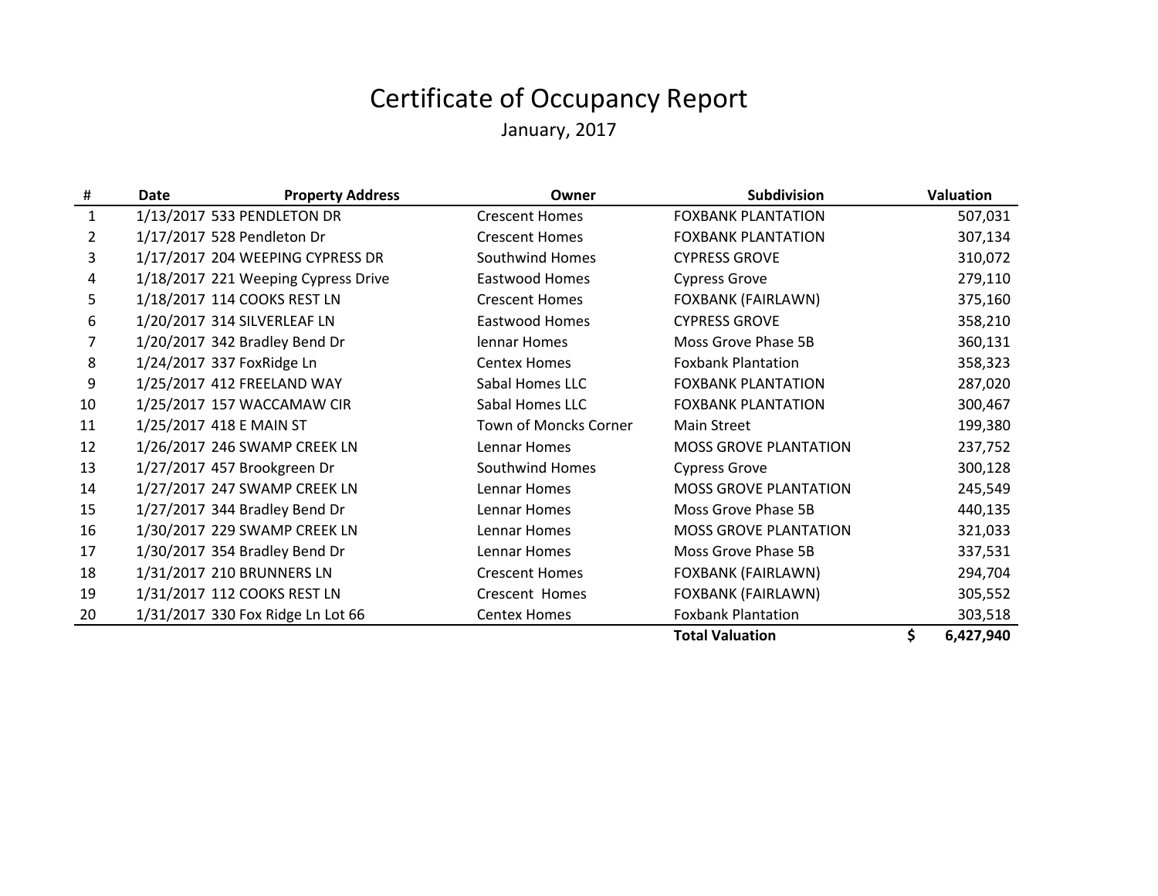# Certificate of Occupancy ReportJanuary, 2017

| #  | <b>Property Address</b><br><b>Date</b> | Owner                  | Subdivision                  | Valuation       |
|----|----------------------------------------|------------------------|------------------------------|-----------------|
| 1  | 1/13/2017 533 PENDLETON DR             | <b>Crescent Homes</b>  | <b>FOXBANK PLANTATION</b>    | 507,031         |
| 2  | 1/17/2017 528 Pendleton Dr             | <b>Crescent Homes</b>  | <b>FOXBANK PLANTATION</b>    | 307,134         |
| 3  | 1/17/2017 204 WEEPING CYPRESS DR       | <b>Southwind Homes</b> | <b>CYPRESS GROVE</b>         | 310,072         |
| 4  | 1/18/2017 221 Weeping Cypress Drive    | Eastwood Homes         | <b>Cypress Grove</b>         | 279,110         |
| 5. | 1/18/2017 114 COOKS REST LN            | <b>Crescent Homes</b>  | <b>FOXBANK (FAIRLAWN)</b>    | 375,160         |
| 6  | 1/20/2017 314 SILVERLEAF LN            | Eastwood Homes         | <b>CYPRESS GROVE</b>         | 358,210         |
| 7  | 1/20/2017 342 Bradley Bend Dr          | lennar Homes           | Moss Grove Phase 5B          | 360,131         |
| 8  | 1/24/2017 337 FoxRidge Ln              | <b>Centex Homes</b>    | <b>Foxbank Plantation</b>    | 358,323         |
| 9  | 1/25/2017 412 FREELAND WAY             | Sabal Homes LLC        | <b>FOXBANK PLANTATION</b>    | 287,020         |
| 10 | 1/25/2017 157 WACCAMAW CIR             | Sabal Homes LLC        | <b>FOXBANK PLANTATION</b>    | 300,467         |
| 11 | 1/25/2017 418 E MAIN ST                | Town of Moncks Corner  | Main Street                  | 199,380         |
| 12 | 1/26/2017 246 SWAMP CREEK LN           | Lennar Homes           | <b>MOSS GROVE PLANTATION</b> | 237,752         |
| 13 | 1/27/2017 457 Brookgreen Dr            | Southwind Homes        | <b>Cypress Grove</b>         | 300,128         |
| 14 | 1/27/2017 247 SWAMP CREEK LN           | Lennar Homes           | <b>MOSS GROVE PLANTATION</b> | 245,549         |
| 15 | 1/27/2017 344 Bradley Bend Dr          | Lennar Homes           | Moss Grove Phase 5B          | 440,135         |
| 16 | 1/30/2017 229 SWAMP CREEK LN           | Lennar Homes           | <b>MOSS GROVE PLANTATION</b> | 321,033         |
| 17 | 1/30/2017 354 Bradley Bend Dr          | Lennar Homes           | Moss Grove Phase 5B          | 337,531         |
| 18 | 1/31/2017 210 BRUNNERS LN              | <b>Crescent Homes</b>  | <b>FOXBANK (FAIRLAWN)</b>    | 294,704         |
| 19 | 1/31/2017 112 COOKS REST LN            | Crescent Homes         | FOXBANK (FAIRLAWN)           | 305,552         |
| 20 | 1/31/2017 330 Fox Ridge Ln Lot 66      | <b>Centex Homes</b>    | <b>Foxbank Plantation</b>    | 303,518         |
|    |                                        |                        | <b>Total Valuation</b>       | \$<br>6,427,940 |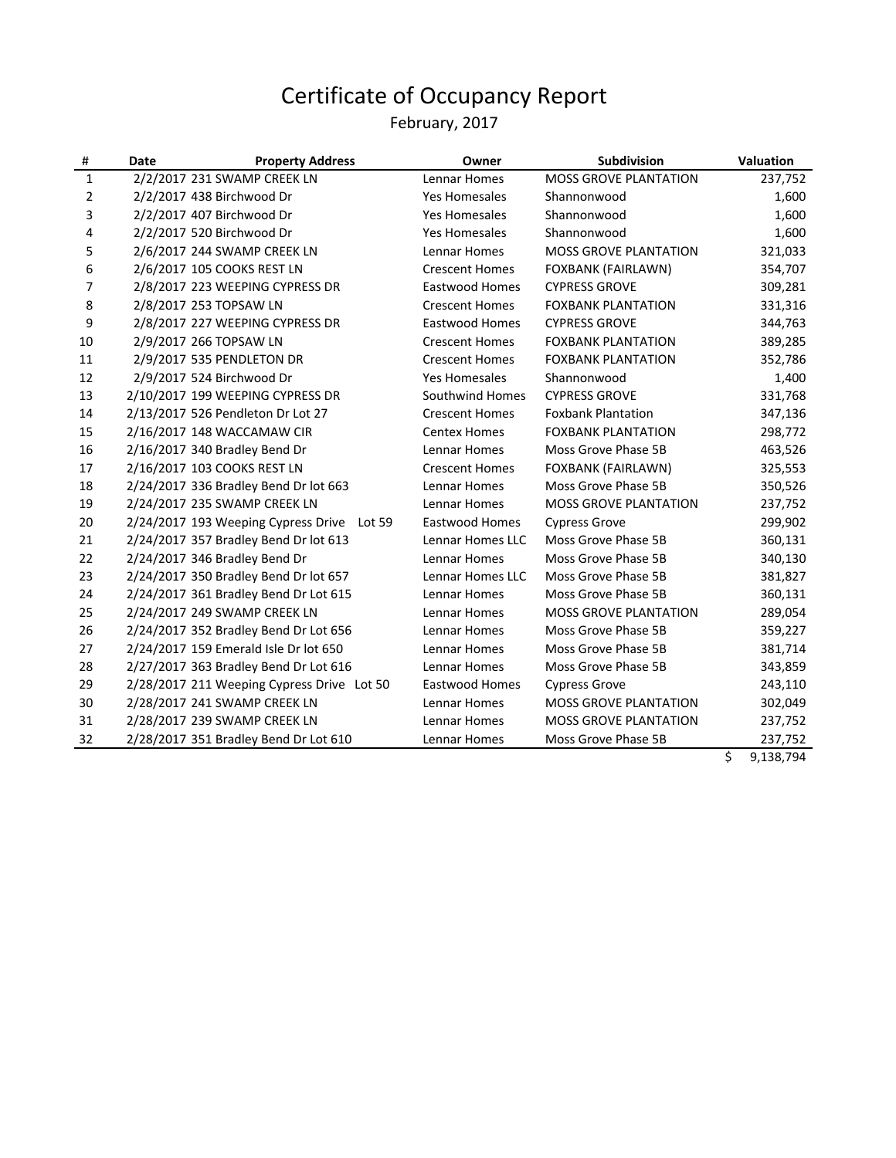#### February, 2017

| #            | Date | <b>Property Address</b>                    | Owner                 | Subdivision                  | Valuation |
|--------------|------|--------------------------------------------|-----------------------|------------------------------|-----------|
| $\mathbf{1}$ |      | 2/2/2017 231 SWAMP CREEK LN                | <b>Lennar Homes</b>   | <b>MOSS GROVE PLANTATION</b> | 237,752   |
| 2            |      | 2/2/2017 438 Birchwood Dr                  | <b>Yes Homesales</b>  | Shannonwood                  | 1,600     |
| 3            |      | 2/2/2017 407 Birchwood Dr                  | <b>Yes Homesales</b>  | Shannonwood                  | 1,600     |
| 4            |      | 2/2/2017 520 Birchwood Dr                  | <b>Yes Homesales</b>  | Shannonwood                  | 1,600     |
| 5            |      | 2/6/2017 244 SWAMP CREEK LN                | <b>Lennar Homes</b>   | <b>MOSS GROVE PLANTATION</b> | 321,033   |
| 6            |      | 2/6/2017 105 COOKS REST LN                 | <b>Crescent Homes</b> | FOXBANK (FAIRLAWN)           | 354,707   |
| 7            |      | 2/8/2017 223 WEEPING CYPRESS DR            | <b>Eastwood Homes</b> | <b>CYPRESS GROVE</b>         | 309,281   |
| 8            |      | 2/8/2017 253 TOPSAW LN                     | <b>Crescent Homes</b> | <b>FOXBANK PLANTATION</b>    | 331,316   |
| 9            |      | 2/8/2017 227 WEEPING CYPRESS DR            | <b>Eastwood Homes</b> | <b>CYPRESS GROVE</b>         | 344,763   |
| 10           |      | 2/9/2017 266 TOPSAW LN                     | <b>Crescent Homes</b> | <b>FOXBANK PLANTATION</b>    | 389,285   |
| 11           |      | 2/9/2017 535 PENDLETON DR                  | <b>Crescent Homes</b> | <b>FOXBANK PLANTATION</b>    | 352,786   |
| 12           |      | 2/9/2017 524 Birchwood Dr                  | <b>Yes Homesales</b>  | Shannonwood                  | 1,400     |
| 13           |      | 2/10/2017 199 WEEPING CYPRESS DR           | Southwind Homes       | <b>CYPRESS GROVE</b>         | 331,768   |
| 14           |      | 2/13/2017 526 Pendleton Dr Lot 27          | <b>Crescent Homes</b> | <b>Foxbank Plantation</b>    | 347,136   |
| 15           |      | 2/16/2017 148 WACCAMAW CIR                 | <b>Centex Homes</b>   | <b>FOXBANK PLANTATION</b>    | 298,772   |
| 16           |      | 2/16/2017 340 Bradley Bend Dr              | Lennar Homes          | Moss Grove Phase 5B          | 463,526   |
| 17           |      | 2/16/2017 103 COOKS REST LN                | <b>Crescent Homes</b> | FOXBANK (FAIRLAWN)           | 325,553   |
| 18           |      | 2/24/2017 336 Bradley Bend Dr lot 663      | Lennar Homes          | Moss Grove Phase 5B          | 350,526   |
| 19           |      | 2/24/2017 235 SWAMP CREEK LN               | <b>Lennar Homes</b>   | <b>MOSS GROVE PLANTATION</b> | 237,752   |
| 20           |      | 2/24/2017 193 Weeping Cypress Drive Lot 59 | <b>Eastwood Homes</b> | <b>Cypress Grove</b>         | 299,902   |
| 21           |      | 2/24/2017 357 Bradley Bend Dr lot 613      | Lennar Homes LLC      | Moss Grove Phase 5B          | 360,131   |
| 22           |      | 2/24/2017 346 Bradley Bend Dr              | <b>Lennar Homes</b>   | Moss Grove Phase 5B          | 340,130   |
| 23           |      | 2/24/2017 350 Bradley Bend Dr lot 657      | Lennar Homes LLC      | Moss Grove Phase 5B          | 381,827   |
| 24           |      | 2/24/2017 361 Bradley Bend Dr Lot 615      | <b>Lennar Homes</b>   | Moss Grove Phase 5B          | 360,131   |
| 25           |      | 2/24/2017 249 SWAMP CREEK LN               | Lennar Homes          | <b>MOSS GROVE PLANTATION</b> | 289,054   |
| 26           |      | 2/24/2017 352 Bradley Bend Dr Lot 656      | Lennar Homes          | Moss Grove Phase 5B          | 359,227   |
| 27           |      | 2/24/2017 159 Emerald Isle Dr lot 650      | <b>Lennar Homes</b>   | Moss Grove Phase 5B          | 381,714   |
| 28           |      | 2/27/2017 363 Bradley Bend Dr Lot 616      | <b>Lennar Homes</b>   | Moss Grove Phase 5B          | 343,859   |
| 29           |      | 2/28/2017 211 Weeping Cypress Drive Lot 50 | <b>Eastwood Homes</b> | <b>Cypress Grove</b>         | 243,110   |
| 30           |      | 2/28/2017 241 SWAMP CREEK LN               | <b>Lennar Homes</b>   | <b>MOSS GROVE PLANTATION</b> | 302,049   |
| 31           |      | 2/28/2017 239 SWAMP CREEK LN               | <b>Lennar Homes</b>   | <b>MOSS GROVE PLANTATION</b> | 237,752   |
| 32           |      | 2/28/2017 351 Bradley Bend Dr Lot 610      | <b>Lennar Homes</b>   | Moss Grove Phase 5B          | 237,752   |

 $\frac{1}{5}$  9,138,794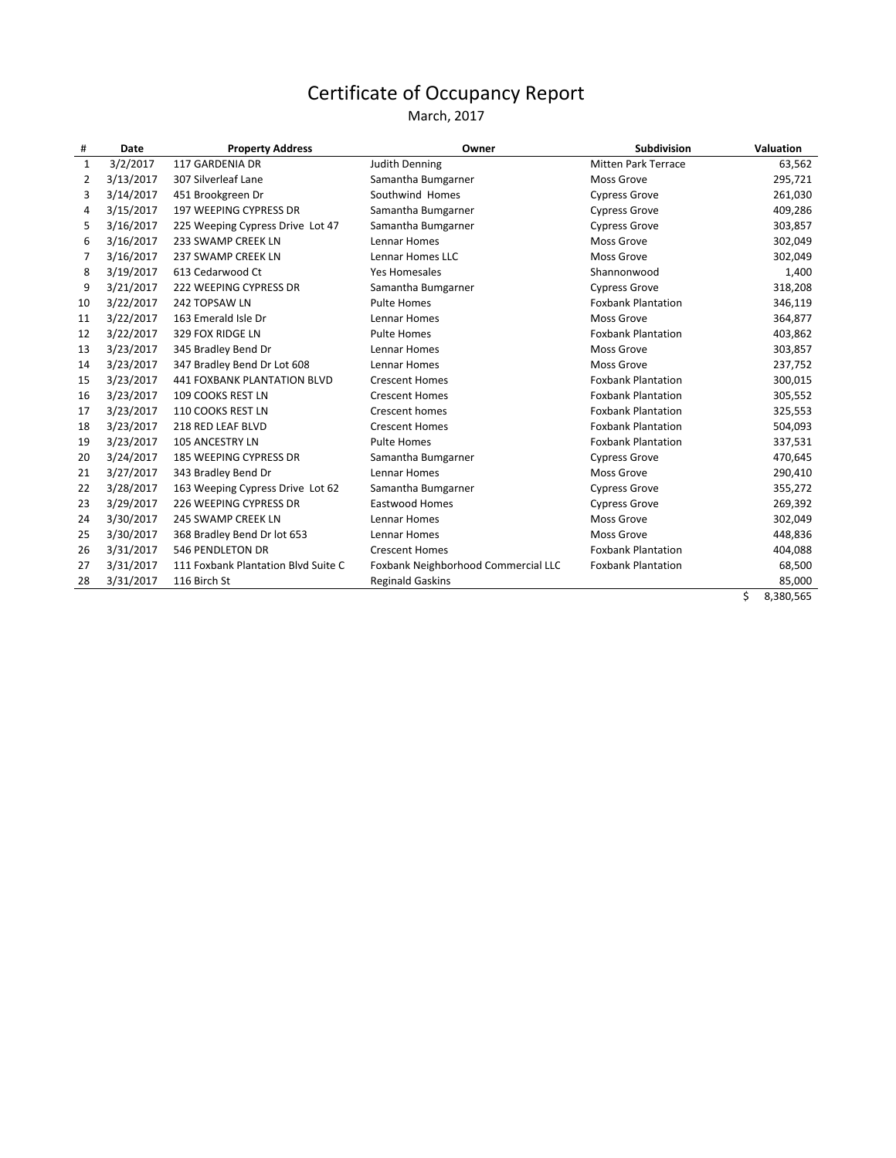March, 2017

| $\mathbf{1}$ | 3/2/2017  | 117 GARDENIA DR                     |                                     |                           |         |
|--------------|-----------|-------------------------------------|-------------------------------------|---------------------------|---------|
|              |           |                                     | Judith Denning                      | Mitten Park Terrace       | 63,562  |
| 2            | 3/13/2017 | 307 Silverleaf Lane                 | Samantha Bumgarner                  | Moss Grove                | 295,721 |
| 3            | 3/14/2017 | 451 Brookgreen Dr                   | Southwind Homes                     | <b>Cypress Grove</b>      | 261,030 |
| 4            | 3/15/2017 | 197 WEEPING CYPRESS DR              | Samantha Bumgarner                  | <b>Cypress Grove</b>      | 409,286 |
| 5            | 3/16/2017 | 225 Weeping Cypress Drive Lot 47    | Samantha Bumgarner                  | Cypress Grove             | 303,857 |
| 6            | 3/16/2017 | 233 SWAMP CREEK LN                  | Lennar Homes                        | <b>Moss Grove</b>         | 302,049 |
| 7            | 3/16/2017 | 237 SWAMP CREEK LN                  | Lennar Homes LLC                    | Moss Grove                | 302,049 |
| 8            | 3/19/2017 | 613 Cedarwood Ct                    | <b>Yes Homesales</b>                | Shannonwood               | 1,400   |
| 9            | 3/21/2017 | 222 WEEPING CYPRESS DR              | Samantha Bumgarner                  | <b>Cypress Grove</b>      | 318,208 |
| 10           | 3/22/2017 | 242 TOPSAW LN                       | <b>Pulte Homes</b>                  | <b>Foxbank Plantation</b> | 346,119 |
| 11           | 3/22/2017 | 163 Emerald Isle Dr                 | Lennar Homes                        | Moss Grove                | 364,877 |
| 12           | 3/22/2017 | 329 FOX RIDGE LN                    | <b>Pulte Homes</b>                  | <b>Foxbank Plantation</b> | 403,862 |
| 13           | 3/23/2017 | 345 Bradley Bend Dr                 | Lennar Homes                        | <b>Moss Grove</b>         | 303,857 |
| 14           | 3/23/2017 | 347 Bradley Bend Dr Lot 608         | Lennar Homes                        | Moss Grove                | 237,752 |
| 15           | 3/23/2017 | <b>441 FOXBANK PLANTATION BLVD</b>  | <b>Crescent Homes</b>               | <b>Foxbank Plantation</b> | 300,015 |
| 16           | 3/23/2017 | 109 COOKS REST LN                   | <b>Crescent Homes</b>               | <b>Foxbank Plantation</b> | 305,552 |
| 17           | 3/23/2017 | 110 COOKS REST LN                   | Crescent homes                      | <b>Foxbank Plantation</b> | 325,553 |
| 18           | 3/23/2017 | 218 RED LEAF BLVD                   | <b>Crescent Homes</b>               | <b>Foxbank Plantation</b> | 504,093 |
| 19           | 3/23/2017 | 105 ANCESTRY LN                     | <b>Pulte Homes</b>                  | <b>Foxbank Plantation</b> | 337,531 |
| 20           | 3/24/2017 | <b>185 WEEPING CYPRESS DR</b>       | Samantha Bumgarner                  | <b>Cypress Grove</b>      | 470,645 |
| 21           | 3/27/2017 | 343 Bradley Bend Dr                 | Lennar Homes                        | Moss Grove                | 290,410 |
| 22           | 3/28/2017 | 163 Weeping Cypress Drive Lot 62    | Samantha Bumgarner                  | <b>Cypress Grove</b>      | 355,272 |
| 23           | 3/29/2017 | 226 WEEPING CYPRESS DR              | <b>Eastwood Homes</b>               | <b>Cypress Grove</b>      | 269,392 |
| 24           | 3/30/2017 | 245 SWAMP CREEK LN                  | Lennar Homes                        | Moss Grove                | 302,049 |
| 25           | 3/30/2017 | 368 Bradley Bend Dr lot 653         | Lennar Homes                        | <b>Moss Grove</b>         | 448,836 |
| 26           | 3/31/2017 | <b>546 PENDLETON DR</b>             | <b>Crescent Homes</b>               | <b>Foxbank Plantation</b> | 404,088 |
| 27           | 3/31/2017 | 111 Foxbank Plantation Blvd Suite C | Foxbank Neighborhood Commercial LLC | <b>Foxbank Plantation</b> | 68,500  |
| 28           | 3/31/2017 | 116 Birch St                        | <b>Reginald Gaskins</b>             |                           | 85,000  |

\$ 8,380,565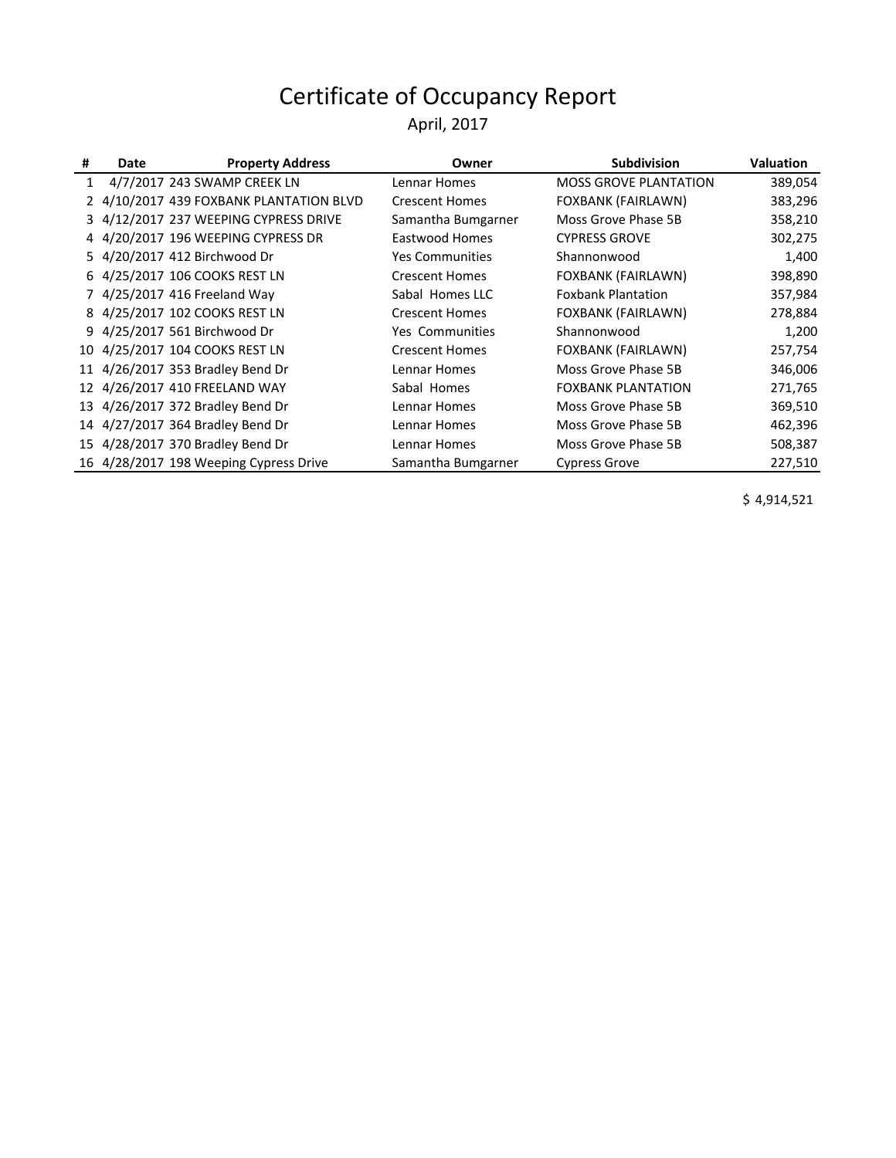#### April, 2017

| 4/7/2017 243 SWAMP CREEK LN<br><b>MOSS GROVE PLANTATION</b><br>Lennar Homes<br>$\mathbf{1}$<br>2 4/10/2017 439 FOXBANK PLANTATION BLVD<br>FOXBANK (FAIRLAWN)<br><b>Crescent Homes</b><br>3 4/12/2017 237 WEEPING CYPRESS DRIVE<br>Samantha Bumgarner<br>Moss Grove Phase 5B<br>4 4/20/2017 196 WEEPING CYPRESS DR<br>Eastwood Homes<br><b>CYPRESS GROVE</b><br>5 4/20/2017 412 Birchwood Dr<br>Shannonwood<br><b>Yes Communities</b> | <b>Valuation</b> |
|--------------------------------------------------------------------------------------------------------------------------------------------------------------------------------------------------------------------------------------------------------------------------------------------------------------------------------------------------------------------------------------------------------------------------------------|------------------|
|                                                                                                                                                                                                                                                                                                                                                                                                                                      | 389,054          |
|                                                                                                                                                                                                                                                                                                                                                                                                                                      | 383,296          |
|                                                                                                                                                                                                                                                                                                                                                                                                                                      | 358,210          |
|                                                                                                                                                                                                                                                                                                                                                                                                                                      | 302,275          |
|                                                                                                                                                                                                                                                                                                                                                                                                                                      | 1,400            |
| 6 4/25/2017 106 COOKS REST LN<br>FOXBANK (FAIRLAWN)<br><b>Crescent Homes</b>                                                                                                                                                                                                                                                                                                                                                         | 398,890          |
| 7 4/25/2017 416 Freeland Way<br><b>Foxbank Plantation</b><br>Sabal Homes LLC                                                                                                                                                                                                                                                                                                                                                         | 357,984          |
| 8 4/25/2017 102 COOKS REST LN<br>FOXBANK (FAIRLAWN)<br><b>Crescent Homes</b>                                                                                                                                                                                                                                                                                                                                                         | 278,884          |
| 9 4/25/2017 561 Birchwood Dr<br><b>Yes Communities</b><br>Shannonwood                                                                                                                                                                                                                                                                                                                                                                | 1,200            |
| 10 4/25/2017 104 COOKS REST LN<br>FOXBANK (FAIRLAWN)<br><b>Crescent Homes</b>                                                                                                                                                                                                                                                                                                                                                        | 257,754          |
| 11 4/26/2017 353 Bradley Bend Dr<br>Lennar Homes<br>Moss Grove Phase 5B                                                                                                                                                                                                                                                                                                                                                              | 346,006          |
| 12 4/26/2017 410 FREELAND WAY<br>Sabal Homes<br><b>FOXBANK PLANTATION</b>                                                                                                                                                                                                                                                                                                                                                            | 271,765          |
| 13 4/26/2017 372 Bradley Bend Dr<br>Lennar Homes<br>Moss Grove Phase 5B                                                                                                                                                                                                                                                                                                                                                              | 369,510          |
| 14 4/27/2017 364 Bradley Bend Dr<br>Lennar Homes<br>Moss Grove Phase 5B                                                                                                                                                                                                                                                                                                                                                              | 462,396          |
| 15 4/28/2017 370 Bradley Bend Dr<br>Lennar Homes<br>Moss Grove Phase 5B                                                                                                                                                                                                                                                                                                                                                              | 508,387          |
| 16 4/28/2017 198 Weeping Cypress Drive<br>Samantha Bumgarner<br><b>Cypress Grove</b>                                                                                                                                                                                                                                                                                                                                                 | 227,510          |

 $$ 4,914,521$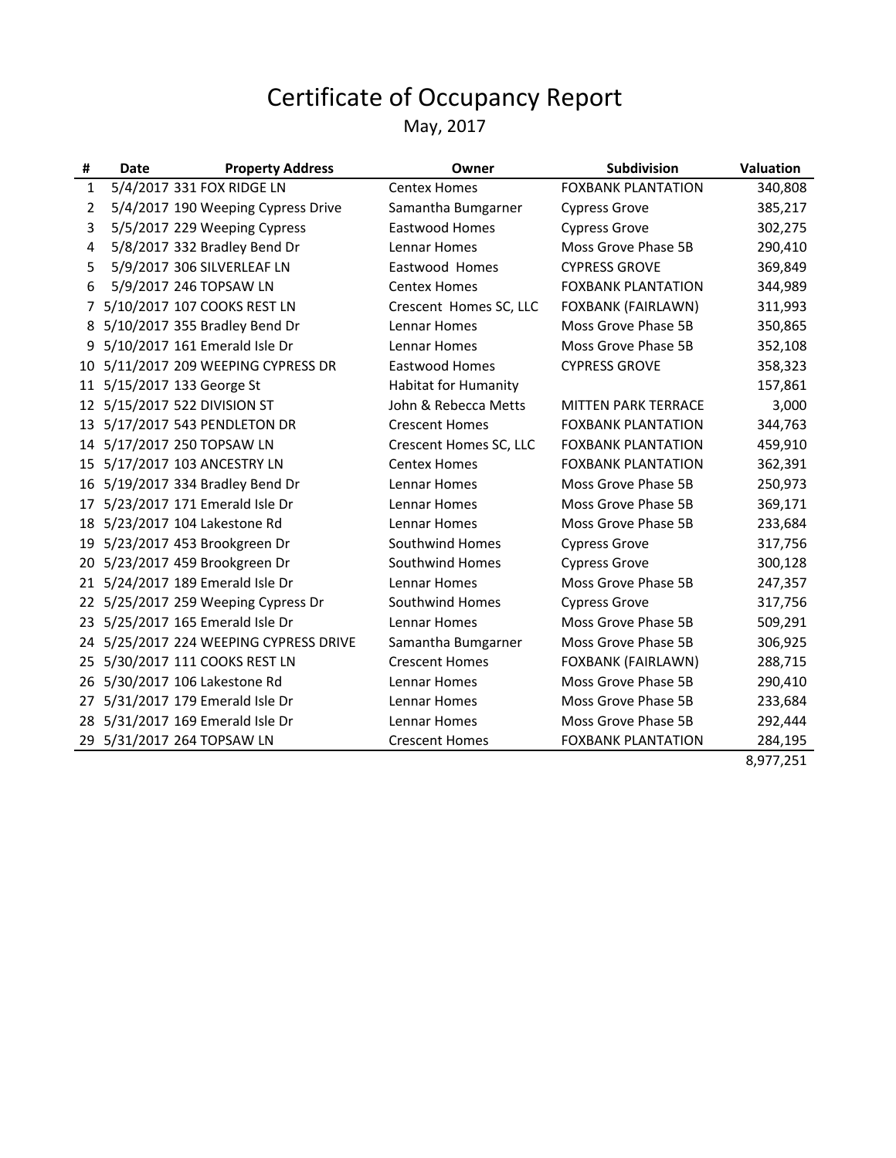May, 2017

| #            | Date                             | <b>Property Address</b>                | Owner                       | <b>Subdivision</b>         | <b>Valuation</b> |
|--------------|----------------------------------|----------------------------------------|-----------------------------|----------------------------|------------------|
| $\mathbf{1}$ | 5/4/2017 331 FOX RIDGE LN        |                                        | <b>Centex Homes</b>         | <b>FOXBANK PLANTATION</b>  | 340,808          |
| 2            |                                  | 5/4/2017 190 Weeping Cypress Drive     | Samantha Bumgarner          | <b>Cypress Grove</b>       | 385,217          |
| 3            |                                  | 5/5/2017 229 Weeping Cypress           | <b>Eastwood Homes</b>       | <b>Cypress Grove</b>       | 302,275          |
| 4            |                                  | 5/8/2017 332 Bradley Bend Dr           | Lennar Homes                | Moss Grove Phase 5B        | 290,410          |
| 5            | 5/9/2017 306 SILVERLEAF LN       |                                        | Eastwood Homes              | <b>CYPRESS GROVE</b>       | 369,849          |
| 6            | 5/9/2017 246 TOPSAW LN           |                                        | <b>Centex Homes</b>         | <b>FOXBANK PLANTATION</b>  | 344,989          |
| $7^{\circ}$  | 5/10/2017 107 COOKS REST LN      |                                        | Crescent Homes SC, LLC      | FOXBANK (FAIRLAWN)         | 311,993          |
| 8            | 5/10/2017 355 Bradley Bend Dr    |                                        | Lennar Homes                | Moss Grove Phase 5B        | 350,865          |
| 9            | 5/10/2017 161 Emerald Isle Dr    |                                        | Lennar Homes                | Moss Grove Phase 5B        | 352,108          |
| 10           |                                  | 5/11/2017 209 WEEPING CYPRESS DR       | Eastwood Homes              | <b>CYPRESS GROVE</b>       | 358,323          |
|              | 11 5/15/2017 133 George St       |                                        | <b>Habitat for Humanity</b> |                            | 157,861          |
|              | 12 5/15/2017 522 DIVISION ST     |                                        | John & Rebecca Metts        | <b>MITTEN PARK TERRACE</b> | 3,000            |
|              | 13 5/17/2017 543 PENDLETON DR    |                                        | <b>Crescent Homes</b>       | <b>FOXBANK PLANTATION</b>  | 344,763          |
| 14           | 5/17/2017 250 TOPSAW LN          |                                        | Crescent Homes SC, LLC      | <b>FOXBANK PLANTATION</b>  | 459,910          |
|              | 15 5/17/2017 103 ANCESTRY LN     |                                        | <b>Centex Homes</b>         | <b>FOXBANK PLANTATION</b>  | 362,391          |
|              | 16 5/19/2017 334 Bradley Bend Dr |                                        | Lennar Homes                | Moss Grove Phase 5B        | 250,973          |
| 17           | 5/23/2017 171 Emerald Isle Dr    |                                        | Lennar Homes                | Moss Grove Phase 5B        | 369,171          |
| 18           | 5/23/2017 104 Lakestone Rd       |                                        | Lennar Homes                | Moss Grove Phase 5B        | 233,684          |
|              | 19 5/23/2017 453 Brookgreen Dr   |                                        | Southwind Homes             | <b>Cypress Grove</b>       | 317,756          |
| 20           | 5/23/2017 459 Brookgreen Dr      |                                        | Southwind Homes             | <b>Cypress Grove</b>       | 300,128          |
|              | 21 5/24/2017 189 Emerald Isle Dr |                                        | Lennar Homes                | Moss Grove Phase 5B        | 247,357          |
| 22           |                                  | 5/25/2017 259 Weeping Cypress Dr       | Southwind Homes             | <b>Cypress Grove</b>       | 317,756          |
|              | 23 5/25/2017 165 Emerald Isle Dr |                                        | Lennar Homes                | Moss Grove Phase 5B        | 509,291          |
|              |                                  | 24 5/25/2017 224 WEEPING CYPRESS DRIVE | Samantha Bumgarner          | Moss Grove Phase 5B        | 306,925          |
|              | 25 5/30/2017 111 COOKS REST LN   |                                        | <b>Crescent Homes</b>       | FOXBANK (FAIRLAWN)         | 288,715          |
| 26           | 5/30/2017 106 Lakestone Rd       |                                        | Lennar Homes                | Moss Grove Phase 5B        | 290,410          |
| 27           | 5/31/2017 179 Emerald Isle Dr    |                                        | Lennar Homes                | Moss Grove Phase 5B        | 233,684          |
| 28           | 5/31/2017 169 Emerald Isle Dr    |                                        | Lennar Homes                | Moss Grove Phase 5B        | 292,444          |
|              | 29 5/31/2017 264 TOPSAW LN       |                                        | <b>Crescent Homes</b>       | <b>FOXBANK PLANTATION</b>  | 284,195          |

 $\frac{28.1288}{8,977,251}$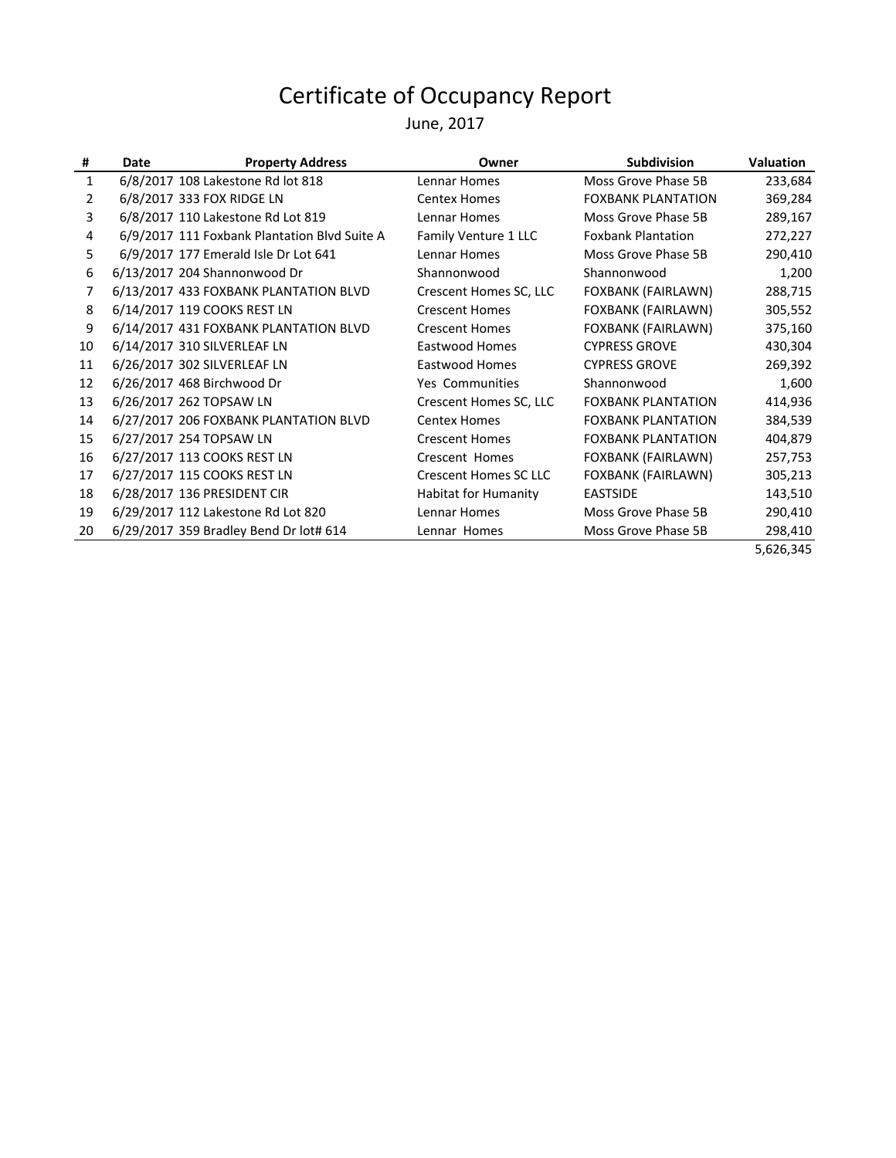June, 2017

| #  | Date                               | <b>Property Address</b>                      | Owner                        | <b>Subdivision</b>        | <b>Valuation</b> |
|----|------------------------------------|----------------------------------------------|------------------------------|---------------------------|------------------|
| 1  |                                    | 6/8/2017 108 Lakestone Rd lot 818            | Lennar Homes                 | Moss Grove Phase 5B       | 233,684          |
| 2  | 6/8/2017 333 FOX RIDGE LN          |                                              | <b>Centex Homes</b>          | <b>FOXBANK PLANTATION</b> | 369,284          |
| 3  |                                    | 6/8/2017 110 Lakestone Rd Lot 819            | Lennar Homes                 | Moss Grove Phase 5B       | 289,167          |
| 4  |                                    | 6/9/2017 111 Foxbank Plantation Blvd Suite A | Family Venture 1 LLC         | <b>Foxbank Plantation</b> | 272,227          |
| 5  |                                    | 6/9/2017 177 Emerald Isle Dr Lot 641         | Lennar Homes                 | Moss Grove Phase 5B       | 290,410          |
| 6  | 6/13/2017 204 Shannonwood Dr       |                                              | Shannonwood                  | Shannonwood               | 1,200            |
| 7  |                                    | 6/13/2017 433 FOXBANK PLANTATION BLVD        | Crescent Homes SC, LLC       | FOXBANK (FAIRLAWN)        | 288,715          |
| 8  | 6/14/2017 119 COOKS REST LN        |                                              | <b>Crescent Homes</b>        | FOXBANK (FAIRLAWN)        | 305,552          |
| 9  |                                    | 6/14/2017 431 FOXBANK PLANTATION BLVD        | <b>Crescent Homes</b>        | FOXBANK (FAIRLAWN)        | 375,160          |
| 10 | 6/14/2017 310 SILVERLEAF LN        |                                              | Eastwood Homes               | <b>CYPRESS GROVE</b>      | 430,304          |
| 11 | 6/26/2017 302 SILVERLEAF LN        |                                              | Eastwood Homes               | <b>CYPRESS GROVE</b>      | 269,392          |
| 12 | 6/26/2017 468 Birchwood Dr         |                                              | <b>Yes Communities</b>       | Shannonwood               | 1,600            |
| 13 | 6/26/2017 262 TOPSAW LN            |                                              | Crescent Homes SC, LLC       | <b>FOXBANK PLANTATION</b> | 414,936          |
| 14 |                                    | 6/27/2017 206 FOXBANK PLANTATION BLVD        | <b>Centex Homes</b>          | <b>FOXBANK PLANTATION</b> | 384,539          |
| 15 | 6/27/2017 254 TOPSAW LN            |                                              | <b>Crescent Homes</b>        | <b>FOXBANK PLANTATION</b> | 404,879          |
| 16 | 6/27/2017 113 COOKS REST LN        |                                              | Crescent Homes               | FOXBANK (FAIRLAWN)        | 257,753          |
| 17 | 6/27/2017 115 COOKS REST LN        |                                              | <b>Crescent Homes SC LLC</b> | FOXBANK (FAIRLAWN)        | 305,213          |
| 18 | 6/28/2017 136 PRESIDENT CIR        |                                              | <b>Habitat for Humanity</b>  | <b>EASTSIDE</b>           | 143,510          |
| 19 | 6/29/2017 112 Lakestone Rd Lot 820 |                                              | Lennar Homes                 | Moss Grove Phase 5B       | 290,410          |
| 20 |                                    | 6/29/2017 359 Bradley Bend Dr lot# 614       | Lennar Homes                 | Moss Grove Phase 5B       | 298,410          |
|    |                                    |                                              |                              |                           | 5,626,345        |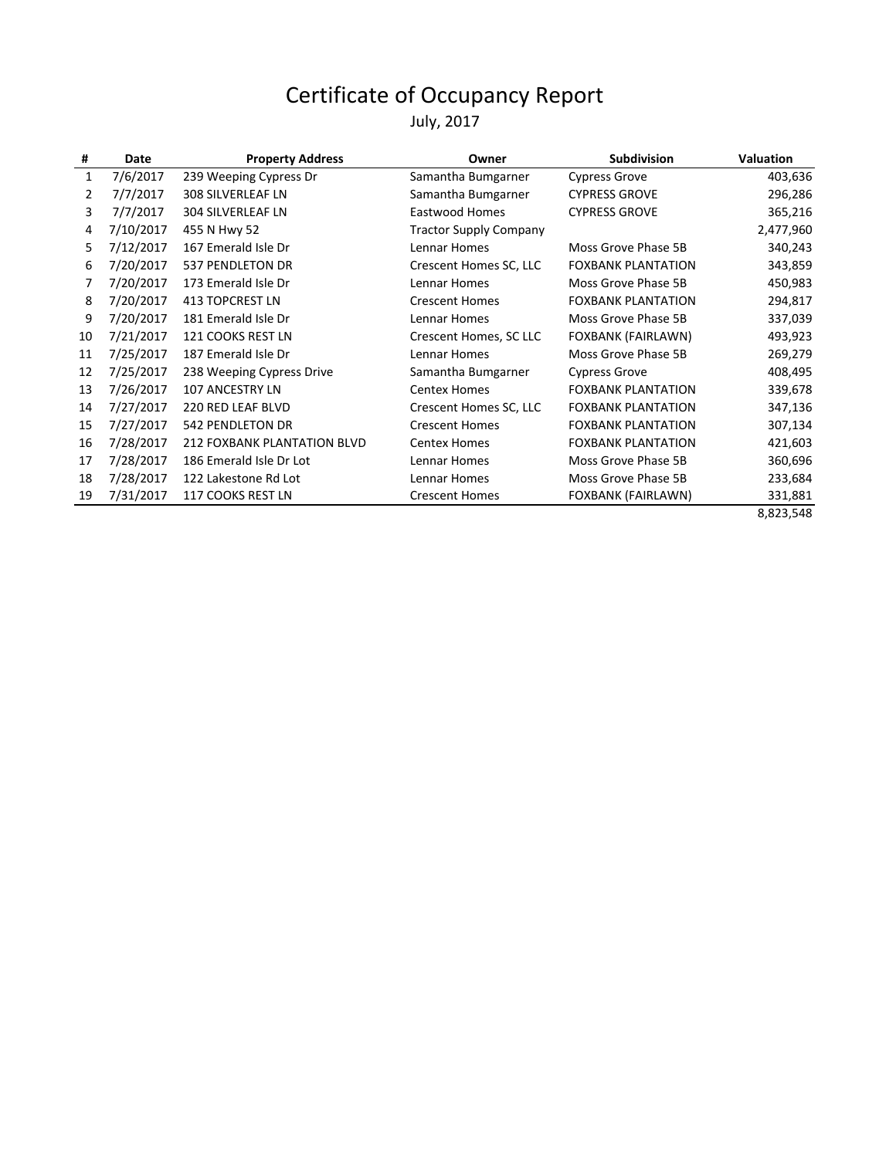#### July, 2017

| #            | Date      | <b>Property Address</b>     | Owner                         | <b>Subdivision</b>        | Valuation |
|--------------|-----------|-----------------------------|-------------------------------|---------------------------|-----------|
| $\mathbf{1}$ | 7/6/2017  | 239 Weeping Cypress Dr      | Samantha Bumgarner            | <b>Cypress Grove</b>      | 403,636   |
| 2            | 7/7/2017  | 308 SILVERLEAF LN           | Samantha Bumgarner            | <b>CYPRESS GROVE</b>      | 296,286   |
| 3            | 7/7/2017  | 304 SILVERLEAF LN           | <b>Eastwood Homes</b>         | <b>CYPRESS GROVE</b>      | 365,216   |
| 4            | 7/10/2017 | 455 N Hwy 52                | <b>Tractor Supply Company</b> |                           | 2,477,960 |
| 5            | 7/12/2017 | 167 Emerald Isle Dr         | Lennar Homes                  | Moss Grove Phase 5B       | 340,243   |
| 6            | 7/20/2017 | 537 PENDLETON DR            | Crescent Homes SC, LLC        | <b>FOXBANK PLANTATION</b> | 343,859   |
| 7            | 7/20/2017 | 173 Emerald Isle Dr         | Lennar Homes                  | Moss Grove Phase 5B       | 450,983   |
| 8            | 7/20/2017 | <b>413 TOPCREST LN</b>      | <b>Crescent Homes</b>         | <b>FOXBANK PLANTATION</b> | 294,817   |
| 9            | 7/20/2017 | 181 Emerald Isle Dr         | Lennar Homes                  | Moss Grove Phase 5B       | 337,039   |
| 10           | 7/21/2017 | 121 COOKS REST LN           | Crescent Homes, SC LLC        | FOXBANK (FAIRLAWN)        | 493,923   |
| 11           | 7/25/2017 | 187 Emerald Isle Dr         | Lennar Homes                  | Moss Grove Phase 5B       | 269,279   |
| 12           | 7/25/2017 | 238 Weeping Cypress Drive   | Samantha Bumgarner            | <b>Cypress Grove</b>      | 408,495   |
| 13           | 7/26/2017 | <b>107 ANCESTRY LN</b>      | <b>Centex Homes</b>           | <b>FOXBANK PLANTATION</b> | 339,678   |
| 14           | 7/27/2017 | 220 RED LEAF BLVD           | Crescent Homes SC, LLC        | <b>FOXBANK PLANTATION</b> | 347,136   |
| 15           | 7/27/2017 | <b>542 PENDLETON DR</b>     | <b>Crescent Homes</b>         | <b>FOXBANK PLANTATION</b> | 307,134   |
| 16           | 7/28/2017 | 212 FOXBANK PLANTATION BLVD | <b>Centex Homes</b>           | <b>FOXBANK PLANTATION</b> | 421,603   |
| 17           | 7/28/2017 | 186 Emerald Isle Dr Lot     | Lennar Homes                  | Moss Grove Phase 5B       | 360,696   |
| 18           | 7/28/2017 | 122 Lakestone Rd Lot        | Lennar Homes                  | Moss Grove Phase 5B       | 233,684   |
| 19           | 7/31/2017 | 117 COOKS REST LN           | <b>Crescent Homes</b>         | FOXBANK (FAIRLAWN)        | 331,881   |
|              |           |                             |                               |                           | 8,823,548 |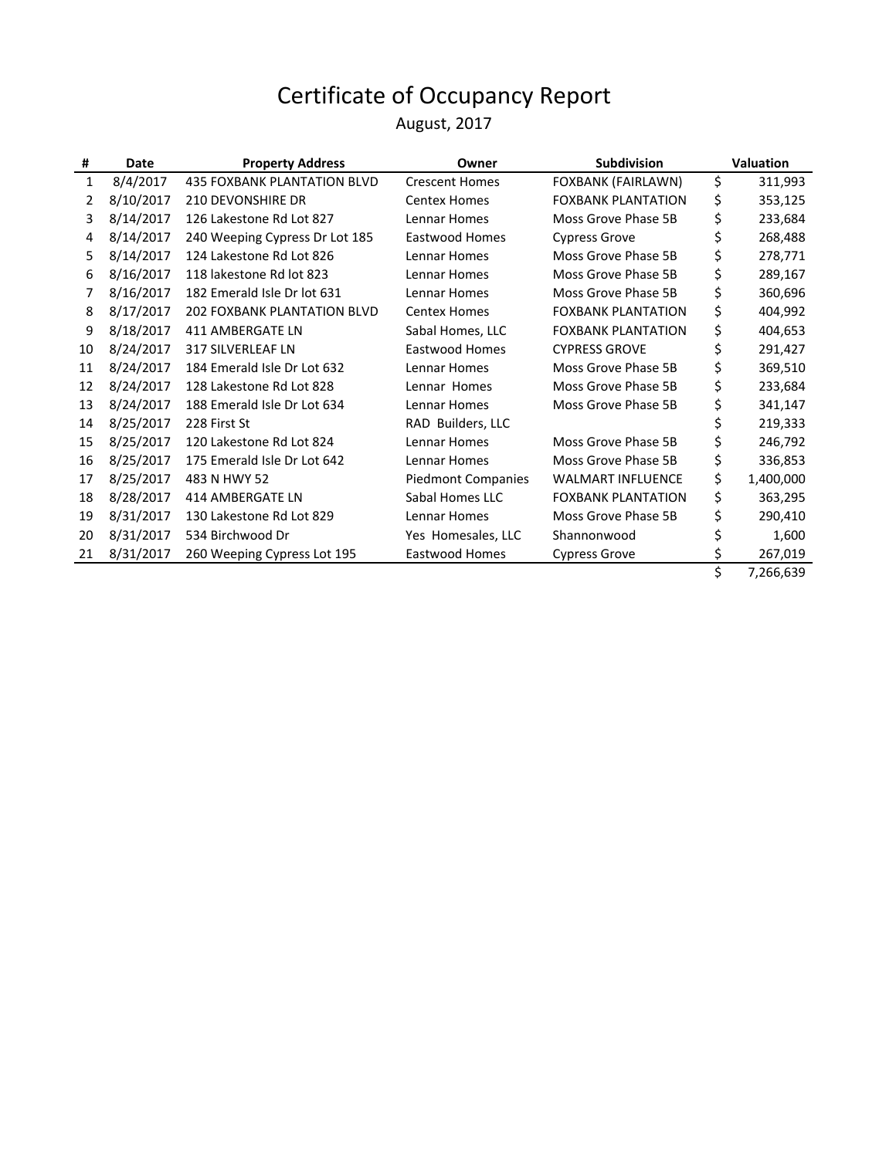August, 2017

| #  | Date      | <b>Property Address</b>            | Owner                     | <b>Subdivision</b>        | Valuation |           |
|----|-----------|------------------------------------|---------------------------|---------------------------|-----------|-----------|
| 1  | 8/4/2017  | <b>435 FOXBANK PLANTATION BLVD</b> | <b>Crescent Homes</b>     | FOXBANK (FAIRLAWN)        | \$        | 311,993   |
| 2  | 8/10/2017 | <b>210 DEVONSHIRE DR</b>           | <b>Centex Homes</b>       | <b>FOXBANK PLANTATION</b> | \$        | 353,125   |
| 3  | 8/14/2017 | 126 Lakestone Rd Lot 827           | Lennar Homes              | Moss Grove Phase 5B       | \$        | 233,684   |
| 4  | 8/14/2017 | 240 Weeping Cypress Dr Lot 185     | Eastwood Homes            | <b>Cypress Grove</b>      | \$        | 268,488   |
| 5  | 8/14/2017 | 124 Lakestone Rd Lot 826           | Lennar Homes              | Moss Grove Phase 5B       | \$        | 278,771   |
| 6  | 8/16/2017 | 118 lakestone Rd lot 823           | Lennar Homes              | Moss Grove Phase 5B       | \$        | 289,167   |
| 7  | 8/16/2017 | 182 Emerald Isle Dr lot 631        | Lennar Homes              | Moss Grove Phase 5B       | \$        | 360,696   |
| 8  | 8/17/2017 | <b>202 FOXBANK PLANTATION BLVD</b> | <b>Centex Homes</b>       | <b>FOXBANK PLANTATION</b> | \$        | 404,992   |
| 9  | 8/18/2017 | 411 AMBERGATE LN                   | Sabal Homes, LLC          | <b>FOXBANK PLANTATION</b> | \$        | 404,653   |
| 10 | 8/24/2017 | <b>317 SILVERLEAF LN</b>           | Eastwood Homes            | <b>CYPRESS GROVE</b>      | \$        | 291,427   |
| 11 | 8/24/2017 | 184 Emerald Isle Dr Lot 632        | Lennar Homes              | Moss Grove Phase 5B       | \$        | 369,510   |
| 12 | 8/24/2017 | 128 Lakestone Rd Lot 828           | Lennar Homes              | Moss Grove Phase 5B       | \$        | 233,684   |
| 13 | 8/24/2017 | 188 Emerald Isle Dr Lot 634        | Lennar Homes              | Moss Grove Phase 5B       | \$        | 341,147   |
| 14 | 8/25/2017 | 228 First St                       | RAD Builders, LLC         |                           |           | 219,333   |
| 15 | 8/25/2017 | 120 Lakestone Rd Lot 824           | Lennar Homes              | Moss Grove Phase 5B       | \$        | 246,792   |
| 16 | 8/25/2017 | 175 Emerald Isle Dr Lot 642        | Lennar Homes              | Moss Grove Phase 5B       | \$        | 336,853   |
| 17 | 8/25/2017 | 483 N HWY 52                       | <b>Piedmont Companies</b> | <b>WALMART INFLUENCE</b>  | \$        | 1,400,000 |
| 18 | 8/28/2017 | 414 AMBERGATE LN                   | Sabal Homes LLC           | <b>FOXBANK PLANTATION</b> | \$        | 363,295   |
| 19 | 8/31/2017 | 130 Lakestone Rd Lot 829           | Lennar Homes              | Moss Grove Phase 5B       | \$        | 290,410   |
| 20 | 8/31/2017 | 534 Birchwood Dr                   | Yes Homesales, LLC        | Shannonwood               |           | 1,600     |
| 21 | 8/31/2017 | 260 Weeping Cypress Lot 195        | Eastwood Homes            | <b>Cypress Grove</b>      | \$        | 267,019   |
|    |           |                                    |                           |                           | \$        | 7,266,639 |